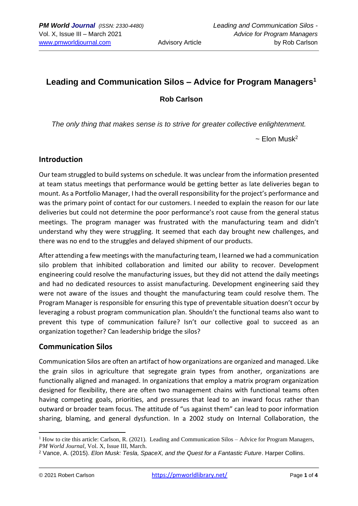# **Leading and Communication Silos – Advice for Program Managers<sup>1</sup>**

## **Rob Carlson**

*The only thing that makes sense is to strive for greater collective enlightenment.*

 $\sim$  [Elon Musk](https://www.brainyquote.com/authors/elon-musk-quotes)<sup>2</sup>

#### **Introduction**

Our team struggled to build systems on schedule. It was unclear from the information presented at team status meetings that performance would be getting better as late deliveries began to mount. As a Portfolio Manager, I had the overall responsibility for the project's performance and was the primary point of contact for our customers. I needed to explain the reason for our late deliveries but could not determine the poor performance's root cause from the general status meetings. The program manager was frustrated with the manufacturing team and didn't understand why they were struggling. It seemed that each day brought new challenges, and there was no end to the struggles and delayed shipment of our products.

After attending a few meetings with the manufacturing team, I learned we had a communication silo problem that inhibited collaboration and limited our ability to recover. Development engineering could resolve the manufacturing issues, but they did not attend the daily meetings and had no dedicated resources to assist manufacturing. Development engineering said they were not aware of the issues and thought the manufacturing team could resolve them. The Program Manager is responsible for ensuring this type of preventable situation doesn't occur by leveraging a robust program communication plan. Shouldn't the functional teams also want to prevent this type of communication failure? Isn't our collective goal to succeed as an organization together? Can leadership bridge the silos?

#### **Communication Silos**

Communication Silos are often an artifact of how organizations are organized and managed. Like the grain silos in agriculture that segregate grain types from another, organizations are functionally aligned and managed. In organizations that employ a matrix program organization designed for flexibility, there are often two management chains with functional teams often having competing goals, priorities, and pressures that lead to an inward focus rather than outward or broader team focus. The attitude of "us against them" can lead to poor information sharing, blaming, and general dysfunction. In a 2002 study on Internal Collaboration, the

<sup>&</sup>lt;sup>1</sup> How to cite this article: Carlson, R. (2021). Leading and Communication Silos – Advice for Program Managers, *PM World Journal*, Vol. X, Issue III, March.

<sup>2</sup> Vance, A. (2015). *Elon Musk: Tesla, SpaceX, and the Quest for a Fantastic Future*. Harper Collins.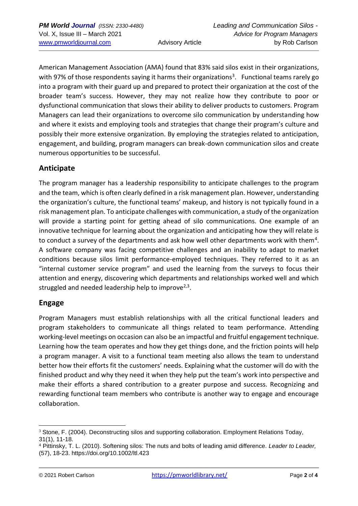American Management Association (AMA) found that 83% said silos exist in their organizations, with 97% of those respondents saying it harms their organizations<sup>3</sup>. Functional teams rarely go into a program with their guard up and prepared to protect their organization at the cost of the broader team's success. However, they may not realize how they contribute to poor or dysfunctional communication that slows their ability to deliver products to customers. Program Managers can lead their organizations to overcome silo communication by understanding how and where it exists and employing tools and strategies that change their program's culture and possibly their more extensive organization. By employing the strategies related to anticipation, engagement, and building, program managers can break-down communication silos and create numerous opportunities to be successful.

## **Anticipate**

The program manager has a leadership responsibility to anticipate challenges to the program and the team, which is often clearly defined in a risk management plan. However, understanding the organization's culture, the functional teams' makeup, and history is not typically found in a risk management plan. To anticipate challenges with communication, a study of the organization will provide a starting point for getting ahead of silo communications. One example of an innovative technique for learning about the organization and anticipating how they will relate is to conduct a survey of the departments and ask how well other departments work with them<sup>4</sup>. A software company was facing competitive challenges and an inability to adapt to market conditions because silos limit performance-employed techniques. They referred to it as an "internal customer service program" and used the learning from the surveys to focus their attention and energy, discovering which departments and relationships worked well and which struggled and needed leadership help to improve<sup>2,3</sup>.

## **Engage**

Program Managers must establish relationships with all the critical functional leaders and program stakeholders to communicate all things related to team performance. Attending working-level meetings on occasion can also be an impactful and fruitful engagement technique. Learning how the team operates and how they get things done, and the friction points will help a program manager. A visit to a functional team meeting also allows the team to understand better how their efforts fit the customers' needs. Explaining what the customer will do with the finished product and why they need it when they help put the team's work into perspective and make their efforts a shared contribution to a greater purpose and success. Recognizing and rewarding functional team members who contribute is another way to engage and encourage collaboration.

<sup>&</sup>lt;sup>3</sup> Stone, F. (2004). Deconstructing silos and supporting collaboration. Employment Relations Today, 31(1), 11-18.

<sup>4</sup> Pittinsky, T. L. (2010). Softening silos: The nuts and bolts of leading amid difference. *Leader to Leader,*  (57), 18-23. https://doi.org/10.1002/ltl.423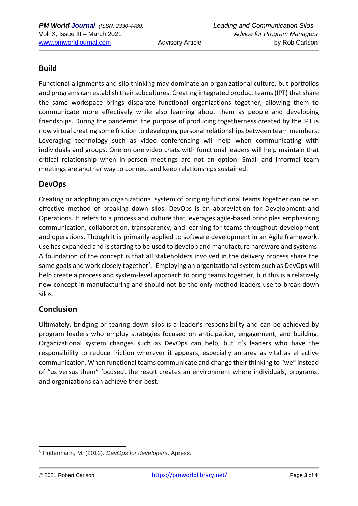## **Build**

Functional alignments and silo thinking may dominate an organizational culture, but portfolios and programs can establish their subcultures. Creating integrated product teams (IPT) that share the same workspace brings disparate functional organizations together, allowing them to communicate more effectively while also learning about them as people and developing friendships. During the pandemic, the purpose of producing togetherness created by the IPT is now virtual creating some friction to developing personal relationships between team members. Leveraging technology such as video conferencing will help when communicating with individuals and groups. One on one video chats with functional leaders will help maintain that critical relationship when in-person meetings are not an option. Small and informal team meetings are another way to connect and keep relationships sustained.

#### **DevOps**

Creating or adopting an organizational system of bringing functional teams together can be an effective method of breaking down silos. DevOps is an abbreviation for Development and Operations. It refers to a process and culture that leverages agile-based principles emphasizing communication, collaboration, transparency, and learning for teams throughout development and operations. Though it is primarily applied to software development in an Agile framework, use has expanded and is starting to be used to develop and manufacture hardware and systems. A foundation of the concept is that all stakeholders involved in the delivery process share the same goals and work closely together<sup>5</sup>. Employing an organizational system such as DevOps will help create a process and system-level approach to bring teams together, but this is a relatively new concept in manufacturing and should not be the only method leaders use to break-down silos.

#### **Conclusion**

Ultimately, bridging or tearing down silos is a leader's responsibility and can be achieved by program leaders who employ strategies focused on anticipation, engagement, and building. Organizational system changes such as DevOps can help, but it's leaders who have the responsibility to reduce friction wherever it appears, especially an area as vital as effective communication. When functional teams communicate and change their thinking to "we" instead of "us versus them" focused, the result creates an environment where individuals, programs, and organizations can achieve their best.

<sup>5</sup> Hüttermann, M. (2012). *DevOps for developers*. Apress.